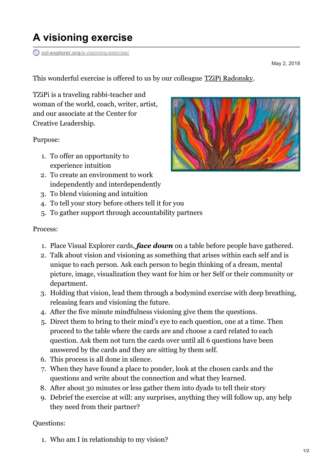## **A visioning exercise**

**ccl-explorer.org**[/a-visioning-exercise/](https://ccl-explorer.org/a-visioning-exercise/)

May 2, 2018

This wonderful exercise is offered to us by our colleague TZiPi [Radonsky](http://rebtzipi.com/).

TZiPi is a traveling rabbi-teacher and woman of the world, coach, writer, artist, and our associate at the Center for Creative Leadership.

Purpose:

- 1. To offer an opportunity to experience intuition
- 2. To create an environment to work independently and interdependently
- 3. To blend visioning and intuition
- 4. To tell your story before others tell it for you
- 5. To gather support through accountability partners

## Process:

- 1. Place Visual Explorer cards, *face down* on a table before people have gathered.
- 2. Talk about vision and visioning as something that arises within each self and is unique to each person. Ask each person to begin thinking of a dream, mental picture, image, visualization they want for him or her Self or their community or department.
- 3. Holding that vision, lead them through a bodymind exercise with deep breathing, releasing fears and visioning the future.
- 4. After the five minute mindfulness visioning give them the questions.
- 5. Direct them to bring to their mind's eye to each question, one at a time. Then proceed to the table where the cards are and choose a card related to each question. Ask them not turn the cards over until all 6 questions have been answered by the cards and they are sitting by them self.
- 6. This process is all done in silence.
- 7. When they have found a place to ponder, look at the chosen cards and the questions and write about the connection and what they learned.
- 8. After about 30 minutes or less gather them into dyads to tell their story
- 9. Debrief the exercise at will: any surprises, anything they will follow up, any help they need from their partner?

Questions:

1. Who am I in relationship to my vision?